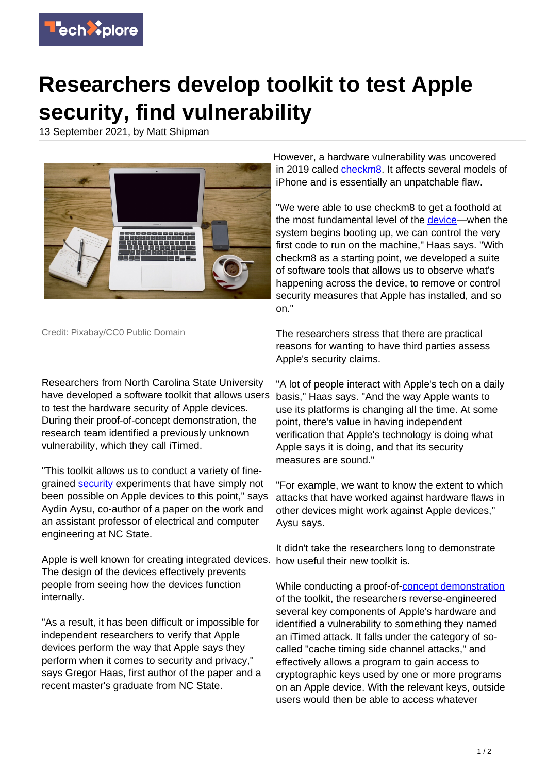

## **Researchers develop toolkit to test Apple security, find vulnerability**

13 September 2021, by Matt Shipman



Credit: Pixabay/CC0 Public Domain

Researchers from North Carolina State University have developed a software toolkit that allows users to test the hardware security of Apple devices. During their proof-of-concept demonstration, the research team identified a previously unknown vulnerability, which they call iTimed.

"This toolkit allows us to conduct a variety of finegrained **security** experiments that have simply not been possible on Apple devices to this point," says Aydin Aysu, co-author of a paper on the work and an assistant professor of electrical and computer engineering at NC State.

Apple is well known for creating integrated devices. how useful their new toolkit is. The design of the devices effectively prevents people from seeing how the devices function internally.

"As a result, it has been difficult or impossible for independent researchers to verify that Apple devices perform the way that Apple says they perform when it comes to security and privacy," says Gregor Haas, first author of the paper and a recent master's graduate from NC State.

However, a hardware vulnerability was uncovered in 2019 called [checkm8](https://techxplore.com/news/2019-09-checkm8-iphone-exploit-jailbreak-town.html). It affects several models of iPhone and is essentially an unpatchable flaw.

"We were able to use checkm8 to get a foothold at the most fundamental level of the [device](https://techxplore.com/tags/device/)—when the system begins booting up, we can control the very first code to run on the machine," Haas says. "With checkm8 as a starting point, we developed a suite of software tools that allows us to observe what's happening across the device, to remove or control security measures that Apple has installed, and so on."

The researchers stress that there are practical reasons for wanting to have third parties assess Apple's security claims.

"A lot of people interact with Apple's tech on a daily basis," Haas says. "And the way Apple wants to use its platforms is changing all the time. At some point, there's value in having independent verification that Apple's technology is doing what Apple says it is doing, and that its security measures are sound."

"For example, we want to know the extent to which attacks that have worked against hardware flaws in other devices might work against Apple devices," Aysu says.

It didn't take the researchers long to demonstrate

While conducting a proof-of[-concept demonstration](https://techxplore.com/tags/concept+demonstration/) of the toolkit, the researchers reverse-engineered several key components of Apple's hardware and identified a vulnerability to something they named an iTimed attack. It falls under the category of socalled "cache timing side channel attacks," and effectively allows a program to gain access to cryptographic keys used by one or more programs on an Apple device. With the relevant keys, outside users would then be able to access whatever